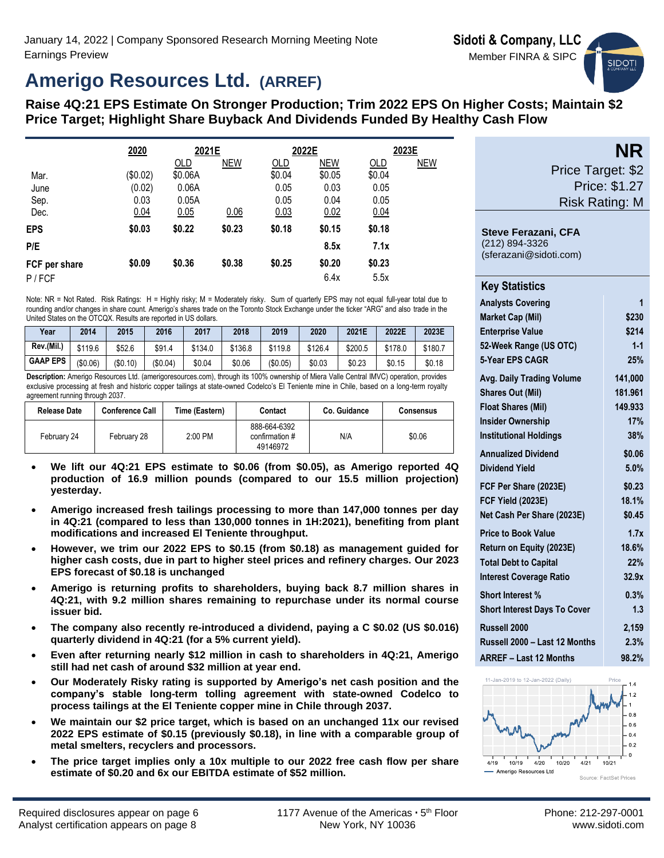# **Amerigo Resources Ltd. (ARREF)**

# **Raise 4Q:21 EPS Estimate On Stronger Production; Trim 2022 EPS On Higher Costs; Maintain \$2 Price Target; Highlight Share Buyback And Dividends Funded By Healthy Cash Flow**

|               | 2020     | 2021E      |            |        | 2022E      |        | 2023E      |
|---------------|----------|------------|------------|--------|------------|--------|------------|
|               |          | <b>OLD</b> | <b>NEW</b> | OLD    | <b>NEW</b> | OLD    | <b>NEW</b> |
| Mar.          | (\$0.02) | \$0.06A    |            | \$0.04 | \$0.05     | \$0.04 |            |
| June          | (0.02)   | 0.06A      |            | 0.05   | 0.03       | 0.05   |            |
| Sep.          | 0.03     | 0.05A      |            | 0.05   | 0.04       | 0.05   |            |
| Dec.          | 0.04     | 0.05       | 0.06       | 0.03   | 0.02       | 0.04   |            |
| <b>EPS</b>    | \$0.03   | \$0.22     | \$0.23     | \$0.18 | \$0.15     | \$0.18 |            |
| P/E           |          |            |            |        | 8.5x       | 7.1x   |            |
| FCF per share | \$0.09   | \$0.36     | \$0.38     | \$0.25 | \$0.20     | \$0.23 |            |
| $P$ / FCF     |          |            |            |        | 6.4x       | 5.5x   |            |

Note: NR = Not Rated. Risk Ratings: H = Highly risky; M = Moderately risky. Sum of quarterly EPS may not equal full-year total due to rounding and/or changes in share count. Amerigo's shares trade on the Toronto Stock Exchange under the ticker "ARG" and also trade in the United States on the OTCQX. Results are reported in US dollars.

| Year            | 2014     | 2015    | 2016    | 2017    | 2018    | 2019     | 2020    | 2021E   | 2022E   | 2023E   |
|-----------------|----------|---------|---------|---------|---------|----------|---------|---------|---------|---------|
| Rev.(Mil.)      | \$119.6  | \$52.6  | \$91.4  | \$134.0 | \$136.8 | \$119.8  | \$126.4 | \$200.5 | \$178.0 | \$180.7 |
| <b>GAAP EPS</b> | (\$0.06) | (S0.10) | (S0.04) | \$0.04  | \$0.06  | (\$0.05) | \$0.03  | \$0.23  | \$0.15  | \$0.18  |

**Description:** Amerigo Resources Ltd. (amerigoresources.com), through its 100% ownership of Miera Valle Central IMVC) operation, provides exclusive processing at fresh and historic copper tailings at state-owned Codelco's El Teniente mine in Chile, based on a long-term royalty agreement running through 2037.

| <b>Release Date</b> | <b>Conference Call</b> | Time (Eastern) | Contact                                    | Co. Guidance | <b>Consensus</b> |
|---------------------|------------------------|----------------|--------------------------------------------|--------------|------------------|
| February 24         | February 28            | 2:00 PM        | 888-664-6392<br>confirmation #<br>49146972 | N/A          | \$0.06           |

- **We lift our 4Q:21 EPS estimate to \$0.06 (from \$0.05), as Amerigo reported 4Q production of 16.9 million pounds (compared to our 15.5 million projection) yesterday.**
- **Amerigo increased fresh tailings processing to more than 147,000 tonnes per day in 4Q:21 (compared to less than 130,000 tonnes in 1H:2021), benefiting from plant modifications and increased El Teniente throughput.**
- **However, we trim our 2022 EPS to \$0.15 (from \$0.18) as management guided for higher cash costs, due in part to higher steel prices and refinery charges. Our 2023 EPS forecast of \$0.18 is unchanged**
- **Amerigo is returning profits to shareholders, buying back 8.7 million shares in 4Q:21, with 9.2 million shares remaining to repurchase under its normal course issuer bid.**
- **The company also recently re-introduced a dividend, paying a C \$0.02 (US \$0.016) quarterly dividend in 4Q:21 (for a 5% current yield).**
- **Even after returning nearly \$12 million in cash to shareholders in 4Q:21, Amerigo still had net cash of around \$32 million at year end.**
- **Our Moderately Risky rating is supported by Amerigo's net cash position and the company's stable long-term tolling agreement with state-owned Codelco to process tailings at the El Teniente copper mine in Chile through 2037.**
- **We maintain our \$2 price target, which is based on an unchanged 11x our revised 2022 EPS estimate of \$0.15 (previously \$0.18), in line with a comparable group of metal smelters, recyclers and processors.**
- **The price target implies only a 10x multiple to our 2022 free cash flow per share estimate of \$0.20 and 6x our EBITDA estimate of \$52 million.**



**NR** Price Target: \$2 Price: \$1.27 Risk Rating: M

**Steve Ferazani, CFA** (212) 894-3326

(sferazani@sidoti.com)

| <b>Key Statistics</b>               |         |
|-------------------------------------|---------|
| <b>Analysts Covering</b>            | 1       |
| <b>Market Cap (Mil)</b>             | \$230   |
| <b>Enterprise Value</b>             | \$214   |
| 52-Week Range (US OTC)              | $1 - 1$ |
| 5-Year EPS CAGR                     | 25%     |
| <b>Avg. Daily Trading Volume</b>    | 141.000 |
| <b>Shares Out (Mil)</b>             | 181.961 |
| <b>Float Shares (Mil)</b>           | 149.933 |
| <b>Insider Ownership</b>            | 17%     |
| <b>Institutional Holdings</b>       | 38%     |
| <b>Annualized Dividend</b>          | \$0.06  |
| <b>Dividend Yield</b>               | 5.0%    |
| FCF Per Share (2023E)               | \$0.23  |
| <b>FCF Yield (2023E)</b>            | 18.1%   |
| Net Cash Per Share (2023E)          | \$0.45  |
| <b>Price to Book Value</b>          | 1.7x    |
| Return on Equity (2023E)            | 18.6%   |
| <b>Total Debt to Capital</b>        | 22%     |
| <b>Interest Coverage Ratio</b>      | 32.9x   |
| <b>Short Interest %</b>             | 0.3%    |
| <b>Short Interest Days To Cover</b> | 1.3     |
| Russell 2000                        | 2,159   |
| Russell 2000 - Last 12 Months       | 2.3%    |
| <b>ARREF - Last 12 Months</b>       | 98.2%   |

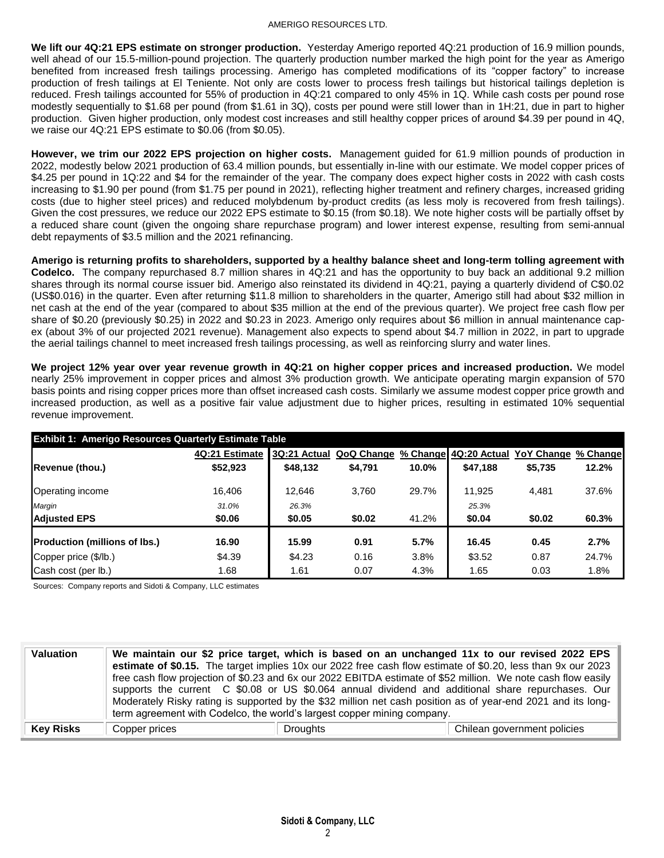### AMERIGO RESOURCES LTD.

**We lift our 4Q:21 EPS estimate on stronger production.** Yesterday Amerigo reported 4Q:21 production of 16.9 million pounds, well ahead of our 15.5-million-pound projection. The quarterly production number marked the high point for the year as Amerigo benefited from increased fresh tailings processing. Amerigo has completed modifications of its "copper factory" to increase production of fresh tailings at El Teniente. Not only are costs lower to process fresh tailings but historical tailings depletion is reduced. Fresh tailings accounted for 55% of production in 4Q:21 compared to only 45% in 1Q. While cash costs per pound rose modestly sequentially to \$1.68 per pound (from \$1.61 in 3Q), costs per pound were still lower than in 1H:21, due in part to higher production. Given higher production, only modest cost increases and still healthy copper prices of around \$4.39 per pound in 4Q, we raise our 4Q:21 EPS estimate to \$0.06 (from \$0.05).

**However, we trim our 2022 EPS projection on higher costs.** Management guided for 61.9 million pounds of production in 2022, modestly below 2021 production of 63.4 million pounds, but essentially in-line with our estimate. We model copper prices of \$4.25 per pound in 1Q:22 and \$4 for the remainder of the year. The company does expect higher costs in 2022 with cash costs increasing to \$1.90 per pound (from \$1.75 per pound in 2021), reflecting higher treatment and refinery charges, increased griding costs (due to higher steel prices) and reduced molybdenum by-product credits (as less moly is recovered from fresh tailings). Given the cost pressures, we reduce our 2022 EPS estimate to \$0.15 (from \$0.18). We note higher costs will be partially offset by a reduced share count (given the ongoing share repurchase program) and lower interest expense, resulting from semi-annual debt repayments of \$3.5 million and the 2021 refinancing.

**Amerigo is returning profits to shareholders, supported by a healthy balance sheet and long-term tolling agreement with Codelco.** The company repurchased 8.7 million shares in 4Q:21 and has the opportunity to buy back an additional 9.2 million shares through its normal course issuer bid. Amerigo also reinstated its dividend in 4Q:21, paying a quarterly dividend of C\$0.02 (US\$0.016) in the quarter. Even after returning \$11.8 million to shareholders in the quarter, Amerigo still had about \$32 million in net cash at the end of the year (compared to about \$35 million at the end of the previous quarter). We project free cash flow per share of \$0.20 (previously \$0.25) in 2022 and \$0.23 in 2023. Amerigo only requires about \$6 million in annual maintenance capex (about 3% of our projected 2021 revenue). Management also expects to spend about \$4.7 million in 2022, in part to upgrade the aerial tailings channel to meet increased fresh tailings processing, as well as reinforcing slurry and water lines.

**We project 12% year over year revenue growth in 4Q:21 on higher copper prices and increased production.** We model nearly 25% improvement in copper prices and almost 3% production growth. We anticipate operating margin expansion of 570 basis points and rising copper prices more than offset increased cash costs. Similarly we assume modest copper price growth and increased production, as well as a positive fair value adjustment due to higher prices, resulting in estimated 10% sequential revenue improvement.

| <b>Exhibit 1: Amerigo Resources Quarterly Estimate Table</b> |                |              |            |          |                         |         |          |  |  |  |
|--------------------------------------------------------------|----------------|--------------|------------|----------|-------------------------|---------|----------|--|--|--|
|                                                              | 4Q:21 Estimate | 3Q:21 Actual | QoQ Change | % Change | 4Q:20 Actual YoY Change |         | % Change |  |  |  |
| Revenue (thou.)                                              | \$52,923       | \$48,132     | \$4,791    | 10.0%    | \$47,188                | \$5,735 | 12.2%    |  |  |  |
| Operating income                                             | 16.406         | 12.646       | 3.760      | 29.7%    | 11.925                  | 4.481   | 37.6%    |  |  |  |
| Margin                                                       | 31.0%          | 26.3%        |            |          | 25.3%                   |         |          |  |  |  |
| <b>Adjusted EPS</b>                                          | \$0.06         | \$0.05       | \$0.02     | 41.2%    | \$0.04                  | \$0.02  | 60.3%    |  |  |  |
| <b>Production (millions of lbs.)</b>                         | 16.90          | 15.99        | 0.91       | 5.7%     | 16.45                   | 0.45    | 2.7%     |  |  |  |
| Copper price (\$/lb.)                                        | \$4.39         | \$4.23       | 0.16       | 3.8%     | \$3.52                  | 0.87    | 24.7%    |  |  |  |
| Cash cost (per lb.)                                          | 1.68           | 1.61         | 0.07       | 4.3%     | 1.65                    | 0.03    | 1.8%     |  |  |  |

Sources: Company reports and Sidoti & Company, LLC estimates

| <b>Valuation</b> |               | term agreement with Codelco, the world's largest copper mining company. | We maintain our \$2 price target, which is based on an unchanged 11x to our revised 2022 EPS<br>estimate of \$0.15. The target implies 10x our 2022 free cash flow estimate of \$0.20, less than 9x our 2023<br>free cash flow projection of \$0.23 and 6x our 2022 EBITDA estimate of \$52 million. We note cash flow easily<br>supports the current C \$0.08 or US \$0.064 annual dividend and additional share repurchases. Our<br>Moderately Risky rating is supported by the \$32 million net cash position as of year-end 2021 and its long- |
|------------------|---------------|-------------------------------------------------------------------------|----------------------------------------------------------------------------------------------------------------------------------------------------------------------------------------------------------------------------------------------------------------------------------------------------------------------------------------------------------------------------------------------------------------------------------------------------------------------------------------------------------------------------------------------------|
| <b>Key Risks</b> | Copper prices | <b>Droughts</b>                                                         | Chilean government policies                                                                                                                                                                                                                                                                                                                                                                                                                                                                                                                        |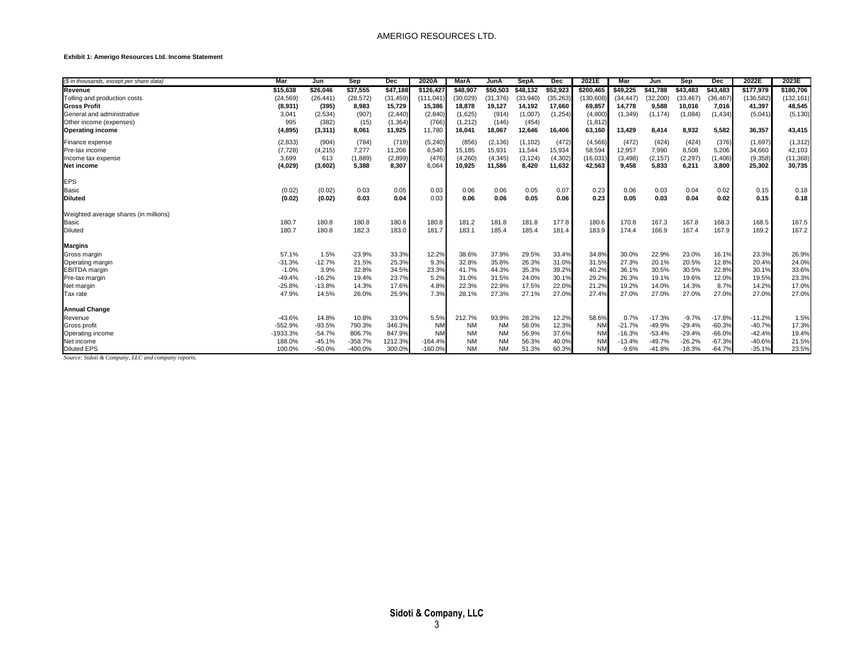#### **Exhibit 1: Amerigo Resources Ltd. Income Statement**

| (\$ in thousands, except per share data) | Mar        | Jun       | Sep       | Dec       | 2020A     | <b>MarA</b> | JunA      | <b>SepA</b> | Dec       | 2021E     | Mar       | Jun       | Sep       | Dec       | 2022E      | 2023E      |
|------------------------------------------|------------|-----------|-----------|-----------|-----------|-------------|-----------|-------------|-----------|-----------|-----------|-----------|-----------|-----------|------------|------------|
| Revenue                                  | \$15.638   | \$26,046  | \$37,555  | \$47,188  | \$126.42  | \$48.907    | \$50,503  | \$48.132    | \$52,923  | \$200,465 | \$49.225  | \$41.788  | \$43.483  | \$43,483  | \$177,979  | \$180,706  |
| Tolling and production costs             | (24, 569)  | (26, 441) | (28, 572) | (31, 459) | (111,041  | (30,029)    | (31, 376) | (33,940)    | (35, 263) | 130,608   | (34, 447) | (32, 200) | (33, 467) | (36, 467) | (136, 582) | (132, 161) |
| <b>Gross Profit</b>                      | (8,931)    | (395)     | 8,983     | 15,729    | 15,386    | 18,878      | 19,127    | 14,192      | 17,660    | 69,857    | 14,778    | 9,588     | 10,016    | 7,016     | 41,397     | 48,545     |
| General and administrative               | 3,041      | (2,534)   | (907)     | (2, 440)  | (2, 840)  | (1,625)     | (914)     | (1,007)     | (1,254)   | (4,800)   | (1, 349)  | (1, 174)  | (1,084)   | (1, 434)  | (5,041)    | (5, 130)   |
| Other income (expenses)                  | 995        | (382)     | (15)      | (1, 364)  | (766)     | (1,212)     | (146)     | (454)       |           | (1, 812)  |           |           |           |           |            |            |
| <b>Operating income</b>                  | (4, 895)   | (3,311)   | 8,061     | 11,925    | 11,780    | 16,041      | 18,067    | 12,646      | 16,406    | 63,160    | 13,429    | 8,414     | 8,932     | 5,582     | 36,357     | 43,415     |
| Finance expense                          | (2,833)    | (904)     | (784)     | (719)     | (5, 240)  | (856)       | (2, 136)  | (1, 102)    | (472)     | (4, 566)  | (472)     | (424)     | (424)     | (376)     | (1,697)    | (1, 312)   |
| Pre-tax income                           | (7, 728)   | (4, 215)  | 7.277     | 11,206    | 6.540     | 15,185      | 15,931    | 11,544      | 15,934    | 58,594    | 12,957    | 7,990     | 8,508     | 5,206     | 34,660     | 42,103     |
| Income tax expense                       | 3.699      | 613       | (1,889)   | (2,899)   | (476)     | (4,260)     | (4, 345)  | (3, 124)    | (4, 302)  | (16, 031) | (3, 498)  | (2, 157)  | (2, 297)  | (1, 406)  | (9,358)    | (11, 368)  |
| Net income                               | (4,029)    | (3,602)   | 5,388     | 8,307     | 6,064     | 10,925      | 11,586    | 8,420       | 11,632    | 42,563    | 9,458     | 5,833     | 6,211     | 3,800     | 25,302     | 30,735     |
| <b>EPS</b>                               |            |           |           |           |           |             |           |             |           |           |           |           |           |           |            |            |
| <b>Basic</b>                             | (0.02)     | (0.02)    | 0.03      | 0.05      | 0.03      | 0.06        | 0.06      | 0.05        | 0.07      | 0.23      | 0.06      | 0.03      | 0.04      | 0.02      | 0.15       | 0.18       |
| <b>Diluted</b>                           | (0.02)     | (0.02)    | 0.03      | 0.04      | 0.03      | 0.06        | 0.06      | 0.05        | 0.06      | 0.23      | 0.05      | 0.03      | 0.04      | 0.02      | 0.15       | 0.18       |
| Weighted average shares (in millions)    |            |           |           |           |           |             |           |             |           |           |           |           |           |           |            |            |
| Basic                                    | 180.7      | 180.8     | 180.8     | 180.8     | 180.8     | 181.2       | 181.8     | 181.8       | 177.8     | 180.6     | 170.8     | 167.3     | 167.8     | 168.3     | 168.5      | 167.5      |
| Diluted                                  | 180.7      | 180.8     | 182.3     | 183.0     | 181.7     | 183.1       | 185.4     | 185.4       | 181.4     | 183.9     | 174.4     | 166.9     | 167.4     | 167.9     | 169.2      | 167.2      |
| <b>Margins</b>                           |            |           |           |           |           |             |           |             |           |           |           |           |           |           |            |            |
| Gross margin                             | 57.1%      | 1.5%      | $-23.9%$  | 33.3%     | 12.2%     | 38.6%       | 37.9%     | 29.5%       | 33.4%     | 34.8%     | 30.0%     | 22.9%     | 23.0%     | 16.1%     | 23.3%      | 26.9%      |
| Operating margin                         | $-31.3%$   | $-12.7%$  | 21.5%     | 25.3%     | 9.3%      | 32.8%       | 35.8%     | 26.3%       | 31.0%     | 31.5%     | 27.3%     | 20.1%     | 20.5%     | 12.8%     | 20.4%      | 24.0%      |
| <b>EBITDA</b> margin                     | $-1.0%$    | 3.9%      | 32.8%     | 34.5%     | 23.3%     | 41.7%       | 44.3%     | 35.3%       | 39.2%     | 40.2%     | 36.1%     | 30.5%     | 30.5%     | 22.8%     | 30.1%      | 33.6%      |
| Pre-tax margin                           | $-49.4%$   | $-16.2%$  | 19.4%     | 23.7%     | 5.2%      | 31.0%       | 31.5%     | 24.0%       | 30.1%     | 29.2%     | 26.3%     | 19.1%     | 19.6%     | 12.0%     | 19.5%      | 23.3%      |
| Net margin                               | $-25.8%$   | $-13.8%$  | 14.3%     | 17.6%     | 4.8%      | 22.3%       | 22.9%     | 17.5%       | 22.0%     | 21.2%     | 19.2%     | 14.0%     | 14.3%     | 8.7%      | 14.2%      | 17.0%      |
| Tax rate                                 | 47.9%      | 14.5%     | 26.0%     | 25.9%     | 7.3%      | 28.1%       | 27.3%     | 27.1%       | 27.0%     | 27.4%     | 27.0%     | 27.0%     | 27.0%     | 27.0%     | 27.0%      | 27.0%      |
| <b>Annual Change</b>                     |            |           |           |           |           |             |           |             |           |           |           |           |           |           |            |            |
| Revenue                                  | $-43.6%$   | 14.8%     | 10.8%     | 33.0%     | 5.5%      | 212.7%      | 93.9%     | 28.2%       | 12.2%     | 58.6%     | 0.7%      | $-17.3%$  | $-9.7%$   | $-17.8%$  | $-11.2%$   | 1.5%       |
| Gross profit                             | $-552.9%$  | $-93.5%$  | 790.3%    | 346.3%    | <b>NM</b> | <b>NM</b>   | <b>NM</b> | 58.0%       | 12.3%     | <b>NM</b> | $-21.7%$  | $-49.9%$  | $-29.4%$  | $-60.3%$  | $-40.7%$   | 17.3%      |
| Operating income                         | $-1933.3%$ | $-54.7%$  | 806.7%    | 847.9%    | <b>NM</b> | <b>NM</b>   | <b>NM</b> | 56.9%       | 37.6%     | <b>NM</b> | $-16.3%$  | $-53.4%$  | $-29.4%$  | $-66.0%$  | $-42.4%$   | 19.4%      |
| Net income                               | 188.0%     | $-45.1%$  | $-358.7%$ | 1212.3%   | $-164.4%$ | <b>NM</b>   | <b>NM</b> | 56.3%       | 40.0%     | <b>NM</b> | $-13.4%$  | $-49.7%$  | $-26.2%$  | $-67.3%$  | $-40.6%$   | 21.5%      |
| <b>Diluted EPS</b>                       | 100.0%     | $-50.0%$  | -400.0%   | 300.0%    | $-160.0%$ | <b>NM</b>   | <b>NM</b> | 51.3%       | 60.3%     | <b>NM</b> | $-9.6%$   | $-41.8%$  | $-18.3%$  | $-64.7%$  | $-35.1%$   | 23.5%      |

*Source: Sidoti & Company, LLC and company reports.*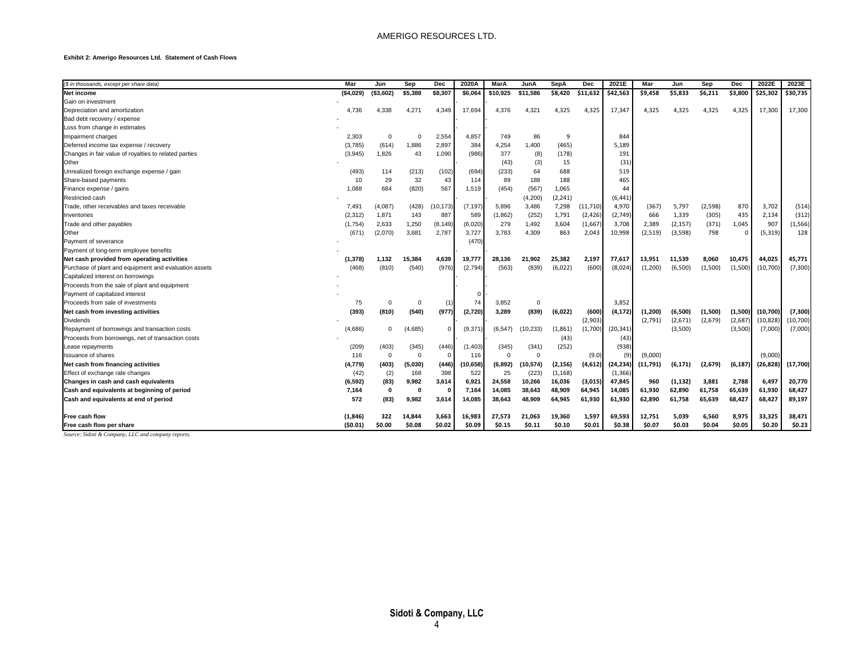#### **Exhibit 2: Amerigo Resources Ltd. Statement of Cash Flows**

| (\$ in thousands, except per share data)              | Mar       | Jun         | Sep      | Dec          | 2020A     | MarA         | JunA        | SepA     | Dec       | 2021E     | Mar       | Jun      | Sep      | <b>Dec</b> | 2022E     | 2023E     |
|-------------------------------------------------------|-----------|-------------|----------|--------------|-----------|--------------|-------------|----------|-----------|-----------|-----------|----------|----------|------------|-----------|-----------|
| <b>Net income</b>                                     | (\$4,029) | ( \$3,602]  | \$5,388  | \$8,307      | \$6,064   | \$10,925     | \$11,586    | \$8,420  | \$11,632  | \$42,563  | \$9,458   | \$5,833  | \$6,211  | \$3,800    | \$25,302  | \$30,735  |
| Gain on investment                                    |           |             |          |              |           |              |             |          |           |           |           |          |          |            |           |           |
| Depreciation and amortization                         | 4,736     | 4,338       | 4,271    | 4,349        | 17,694    | 4,376        | 4,321       | 4,325    | 4,325     | 17,347    | 4,325     | 4,325    | 4,325    | 4,325      | 17,300    | 17,300    |
| Bad debt recovery / expense                           |           |             |          |              |           |              |             |          |           |           |           |          |          |            |           |           |
| Loss from change in estimates                         |           |             |          |              |           |              |             |          |           |           |           |          |          |            |           |           |
| Impairment charges                                    | 2,303     | $\Omega$    | 0        | 2,554        | 4,857     |              | 86          | -9       |           | 844       |           |          |          |            |           |           |
|                                                       | (3,785)   | (614)       | 1,886    | 2,897        | 384       | 749<br>4,254 | 1,400       | (465)    |           | 5,189     |           |          |          |            |           |           |
| Deferred income tax expense / recovery                |           | 1,826       |          |              |           |              |             |          |           |           |           |          |          |            |           |           |
| Changes in fair value of royalties to related parties | (3,945)   |             | 43       | 1,090        | (986)     | 377          | (8)         | (178)    |           | 191       |           |          |          |            |           |           |
| Other                                                 |           |             |          |              |           | (43)         | (3)         | 15       |           | (31)      |           |          |          |            |           |           |
| Unrealized foreign exchange expense / gain            | (493)     | 114         | (213)    | (102)        | (694)     | (233)        | 64          | 688      |           | 519       |           |          |          |            |           |           |
| Share-based payments                                  | 10        | 29          | 32       | 43           | 114       | 89           | 188         | 188      |           | 465       |           |          |          |            |           |           |
| Finance expense / gains                               | 1,088     | 684         | (820)    | 567          | 1,519     | (454)        | (567)       | 1,065    |           | 44        |           |          |          |            |           |           |
| Restricted cash                                       |           |             |          |              |           |              | (4,200)     | (2, 241) |           | (6, 441)  |           |          |          |            |           |           |
| Trade, other receivables and taxes receivable         | 7,491     | (4,087)     | (428)    | (10, 173)    | (7, 197)  | 5,896        | 3,486       | 7,298    | (11, 710) | 4,970     | (367)     | 5,797    | (2, 598) | 870        | 3,702     | (514)     |
| Inventories                                           | (2, 312)  | 1,871       | 143      | 887          | 589       | (1,862)      | (252)       | 1,791    | (2, 426)  | (2,749)   | 666       | 1,339    | (305)    | 435        | 2,134     | (312)     |
| Trade and other payables                              | (1,754)   | 2,633       | 1,250    | (8, 149)     | (6,020)   | 279          | 1,492       | 3,604    | (1,667)   | 3,708     | 2,389     | (2, 157) | (371)    | 1,045      | 907       | (1, 566)  |
| Other                                                 | (671)     | (2,070)     | 3,681    | 2,787        | 3,727     | 3,783        | 4,309       | 863      | 2,043     | 10,998    | (2, 519)  | (3,598)  | 798      | $\Omega$   | (5, 319)  | 128       |
| Payment of severance                                  |           |             |          |              | (470)     |              |             |          |           |           |           |          |          |            |           |           |
| Payment of long-term employee benefits                |           |             |          |              |           |              |             |          |           |           |           |          |          |            |           |           |
| Net cash provided from operating activities           | (1,378)   | 1,132       | 15.384   | 4,639        | 19,777    | 28,136       | 21.902      | 25,382   | 2,197     | 77,617    | 13,951    | 11,539   | 8,060    | 10,475     | 44,025    | 45,771    |
| Purchase of plant and equipment and evaluation assets | (468)     | (810)       | (540)    | (976)        | (2,794)   | (563)        | (839)       | (6,022)  | (600)     | (8,024)   | (1, 200)  | (6,500)  | (1,500)  | (1,500)    | (10, 700) | (7, 300)  |
| Capitalized interest on borrowings                    |           |             |          |              |           |              |             |          |           |           |           |          |          |            |           |           |
| Proceeds from the sale of plant and equipment         |           |             |          |              |           |              |             |          |           |           |           |          |          |            |           |           |
| Payment of capitalized interest                       |           |             |          |              |           |              |             |          |           |           |           |          |          |            |           |           |
| Proceeds from sale of investments                     | 75        | $\Omega$    | 0        | (1)          | 74        | 3,852        | $\mathbf 0$ |          |           | 3,852     |           |          |          |            |           |           |
| Net cash from investing activities                    | (393)     | (810)       | (540)    | (977)        | (2,720)   | 3,289        | (839)       | (6,022)  | (600)     | (4, 172)  | (1,200)   | (6,500)  | (1,500)  | (1,500)    | (10, 700) | (7, 300)  |
| <b>Dividends</b>                                      |           |             |          |              |           |              |             |          | (2,903)   |           | (2,791)   | (2,671)  | (2,679)  | (2,687)    | (10, 828) | (10, 700) |
| Repayment of borrowings and transaction costs         | (4,686)   | 0           | (4,685)  | $\mathbf 0$  | (9, 371)  | (6, 547)     | (10, 233)   | (1,861)  | (1,700)   | (20, 341) |           | (3,500)  |          | (3,500)    | (7,000)   | (7,000)   |
| Proceeds from borrowings, net of transaction costs    |           |             |          |              |           |              |             | (43)     |           | (43)      |           |          |          |            |           |           |
| Lease repayments                                      | (209)     | (403)       | (345)    | (446)        | (1,403)   | (345)        | (341)       | (252)    |           | (938)     |           |          |          |            |           |           |
| <b>Issuance of shares</b>                             | 116       | $\mathbf 0$ | $\Omega$ | $\Omega$     | 116       | $\Omega$     | $\Omega$    |          | (9.0)     | (9)       | (9,000)   |          |          |            | (9,000)   |           |
| Net cash from financing activities                    | (4,779)   | (403)       | (5,030)  | (446)        | (10, 658) | (6, 892)     | (10, 574)   | (2, 156) | (4,612)   | (24, 234) | (11, 791) | (6,171)  | (2,679)  | (6, 187)   | (26, 828) | (17,700)  |
| Effect of exchange rate changes                       | (42)      | (2)         | 168      | 398          | 522       | 25           | (223)       | (1, 168) |           | (1, 366)  |           |          |          |            |           |           |
| Changes in cash and cash equivalents                  | (6, 592)  | (83)        | 9,982    | 3,614        | 6,921     | 24,558       | 10,266      | 16,036   | (3,015)   | 47,845    | 960       | (1, 132) | 3,881    | 2,788      | 6,497     | 20,770    |
| Cash and equivalents at beginning of period           | 7,164     | $\mathbf 0$ | 0        | $\mathbf{0}$ | 7.164     | 14,085       | 38.643      | 48,909   | 64,945    | 14,085    | 61,930    | 62,890   | 61,758   | 65,639     | 61,930    | 68,427    |
| Cash and equivalents at end of period                 | 572       | (83)        | 9,982    | 3,614        | 14,085    | 38,643       | 48,909      | 64,945   | 61,930    | 61,930    | 62,890    | 61,758   | 65,639   | 68,427     | 68,427    | 89,197    |
| Free cash flow                                        | (1,846)   | 322         | 14.844   | 3,663        | 16,983    | 27,573       | 21,063      | 19,360   | 1,597     | 69,593    | 12,751    | 5,039    | 6,560    | 8,975      | 33,325    | 38,471    |
| Free cash flow per share                              | (\$0.01)  | \$0.00      | \$0.08   | \$0.02       | \$0.09    | \$0.15       | \$0.11      | \$0.10   | \$0.01    | \$0.38    | \$0.07    | \$0.03   | \$0.04   | \$0.05     | \$0.20    | \$0.23    |

*Source: Sidoti & Company, LLC and company reports.*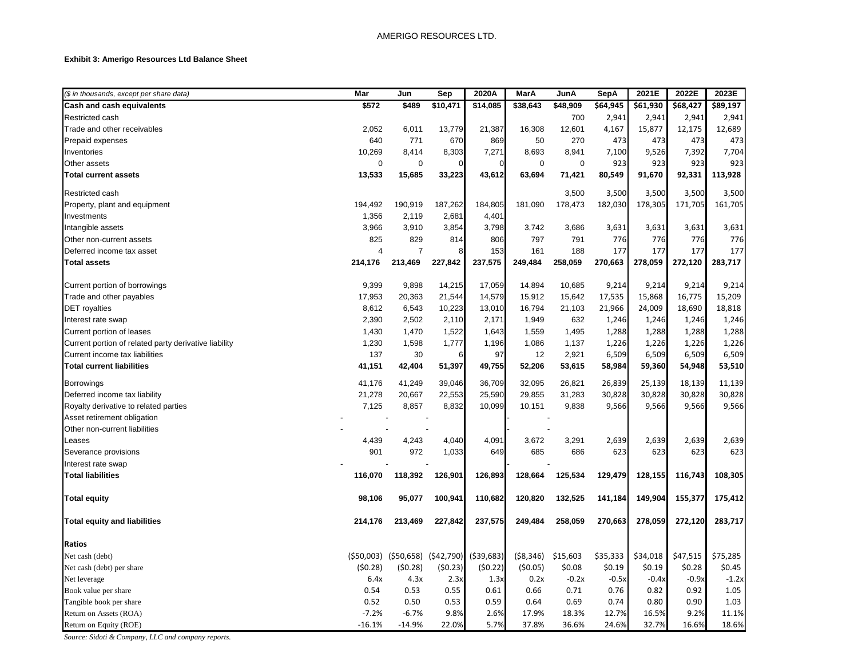### **Exhibit 3: Amerigo Resources Ltd Balance Sheet**

| (\$ in thousands, except per share data)              | Mar             | Jun                                 | Sep                      | 2020A           | MarA            | JunA              | <b>SepA</b>       | 2021E             | 2022E             | 2023E    |
|-------------------------------------------------------|-----------------|-------------------------------------|--------------------------|-----------------|-----------------|-------------------|-------------------|-------------------|-------------------|----------|
| Cash and cash equivalents                             | \$572           | \$489                               | \$10,471                 | \$14,085        | \$38,643        | \$48,909          | 564,945           | 561,930           | \$68,427          | \$89,197 |
| Restricted cash                                       |                 |                                     |                          |                 |                 | 700               | 2,941             | 2,941             | 2,941             | 2,941    |
| Trade and other receivables                           | 2,052           | 6,011                               | 13,779                   | 21,387          | 16,308          | 12,601            | 4,167             | 15,877            | 12,175            | 12,689   |
| Prepaid expenses                                      | 640             | 771                                 | 670                      | 869             | 50              | 270               | 473               | 473               | 473               | 473      |
| Inventories                                           | 10,269          | 8,414                               | 8,303                    | 7,271           | 8,693           | 8,941             | 7,100             | 9,526             | 7,392             | 7,704    |
| Other assets                                          | $\mathbf 0$     | $\mathbf 0$                         | O                        |                 | $\mathbf 0$     | $\mathbf 0$       | 923               | 923               | 923               | 923      |
| <b>Total current assets</b>                           | 13,533          | 15,685                              | 33,223                   | 43,612          | 63,694          | 71,421            | 80,549            | 91,670            | 92,331            | 113,928  |
| Restricted cash                                       |                 |                                     |                          |                 |                 | 3,500             | 3,500             | 3,500             | 3,500             | 3,500    |
| Property, plant and equipment                         | 194,492         | 190,919                             | 187,262                  | 184,805         | 181,090         | 178,473           | 182,030           | 178,305           | 171,705           | 161,705  |
| Investments                                           | 1,356           | 2,119                               | 2,681                    | 4,401           |                 |                   |                   |                   |                   |          |
| Intangible assets                                     | 3,966           | 3,910                               | 3,854                    | 3,798           | 3,742           | 3,686             | 3,631             | 3,631             | 3,631             | 3,631    |
| Other non-current assets                              | 825             | 829                                 | 814                      | 806             | 797             | 791               | 776               | 776               | 776               | 776      |
| Deferred income tax asset                             | $\overline{4}$  | $\overline{7}$                      | 8                        | 153             | 161             | 188               | 177               | 177               | 177               | 177      |
| <b>Total assets</b>                                   | 214,176         | 213,469                             | 227,842                  | 237,575         | 249,484         | 258,059           | 270,663           | 278,059           | 272,120           | 283,717  |
| Current portion of borrowings                         | 9,399           | 9,898                               | 14,215                   | 17,059          | 14,894          | 10,685            | 9,214             | 9,214             | 9,214             | 9,214    |
| Trade and other payables                              | 17,953          | 20,363                              | 21,544                   | 14,579          | 15,912          | 15,642            | 17,535            | 15,868            | 16,775            | 15,209   |
| <b>DET</b> royalties                                  | 8,612           | 6,543                               | 10,223                   | 13,010          | 16,794          | 21,103            | 21,966            | 24,009            | 18,690            | 18,818   |
| Interest rate swap                                    | 2,390           | 2,502                               | 2,110                    | 2,171           | 1,949           | 632               | 1,246             | 1,246             | 1,246             | 1,246    |
| Current portion of leases                             | 1,430           | 1,470                               | 1,522                    | 1,643           | 1,559           | 1,495             | 1,288             | 1,288             | 1,288             | 1,288    |
| Current portion of related party derivative liability | 1,230           | 1,598                               | 1,777                    | 1,196           | 1,086           | 1,137             | 1,226             | 1,226             | 1,226             | 1,226    |
| Current income tax liabilities                        | 137             | 30                                  | 6                        | 97              | 12              | 2,921             | 6,509             | 6,509             | 6,509             | 6,509    |
| <b>Total current liabilities</b>                      | 41,151          | 42,404                              | 51,397                   | 49,755          | 52,206          | 53,615            | 58,984            | 59,360            | 54,948            | 53,510   |
| <b>Borrowings</b>                                     | 41,176          | 41,249                              | 39,046                   | 36,709          | 32,095          | 26,821            | 26,839            | 25,139            | 18,139            | 11,139   |
| Deferred income tax liability                         | 21,278          | 20,667                              | 22,553                   | 25,590          | 29,855          | 31,283            | 30,828            | 30,828            | 30,828            | 30,828   |
| Royalty derivative to related parties                 | 7,125           | 8,857                               | 8,832                    | 10,099          | 10,151          | 9,838             | 9,566             | 9,566             | 9,566             | 9,566    |
| Asset retirement obligation                           |                 |                                     | $\overline{\phantom{a}}$ |                 |                 |                   |                   |                   |                   |          |
| Other non-current liabilities                         |                 |                                     |                          |                 |                 |                   |                   |                   |                   |          |
| Leases                                                | 4,439           | 4,243                               | 4,040                    | 4,091           | 3,672           | 3,291             | 2,639             | 2,639             | 2,639             | 2,639    |
| Severance provisions                                  | 901             | 972                                 | 1,033                    | 649             | 685             | 686               | 623               | 623               | 623               | 623      |
| Interest rate swap                                    |                 |                                     |                          |                 |                 |                   |                   |                   |                   |          |
| <b>Total liabilities</b>                              | 116,070         | 118,392                             | 126,901                  | 126,893         | 128,664         | 125,534           | 129,479           | 128,155           | 116,743           | 108,305  |
| <b>Total equity</b>                                   | 98,106          | 95,077                              | 100,941                  | 110,682         | 120,820         | 132,525           | 141,184           | 149,904           | 155,377           | 175,412  |
| <b>Total equity and liabilities</b>                   | 214,176         | 213,469                             | 227,842                  | 237,575         | 249,484         | 258,059           | 270,663           | 278,059           | 272,120           | 283,717  |
|                                                       |                 |                                     |                          |                 |                 |                   |                   |                   |                   |          |
| <b>Ratios</b><br>Net cash (debt)                      |                 | $(550,003)$ $(550,658)$ $(542,790)$ |                          | ( \$39, 683)    | ( \$8,346)      | \$15,603          | \$35,333          | \$34,018          | \$47,515          | \$75,285 |
|                                                       |                 |                                     |                          |                 |                 |                   |                   |                   |                   | \$0.45   |
| Net cash (debt) per share<br>Net leverage             | (50.28)<br>6.4x | (50.28)<br>4.3x                     | (50.23)<br>2.3x          | (50.22)<br>1.3x | (50.05)<br>0.2x | \$0.08<br>$-0.2x$ | \$0.19<br>$-0.5x$ | \$0.19<br>$-0.4x$ | \$0.28<br>$-0.9x$ | $-1.2x$  |
| Book value per share                                  | 0.54            | 0.53                                | 0.55                     | 0.61            | 0.66            | 0.71              | 0.76              | 0.82              | 0.92              | 1.05     |
| Tangible book per share                               | 0.52            | 0.50                                | 0.53                     | 0.59            | 0.64            | 0.69              | 0.74              | 0.80              | 0.90              | 1.03     |
| Return on Assets (ROA)                                | $-7.2%$         | $-6.7%$                             | 9.8%                     | 2.6%            | 17.9%           | 18.3%             | 12.7%             | 16.5%             | 9.2%              | 11.1%    |
| Return on Equity (ROE)                                | $-16.1%$        | $-14.9%$                            | 22.0%                    | 5.7%            | 37.8%           | 36.6%             | 24.6%             | 32.7%             | 16.6%             | 18.6%    |

*Source: Sidoti & Company, LLC and company reports.*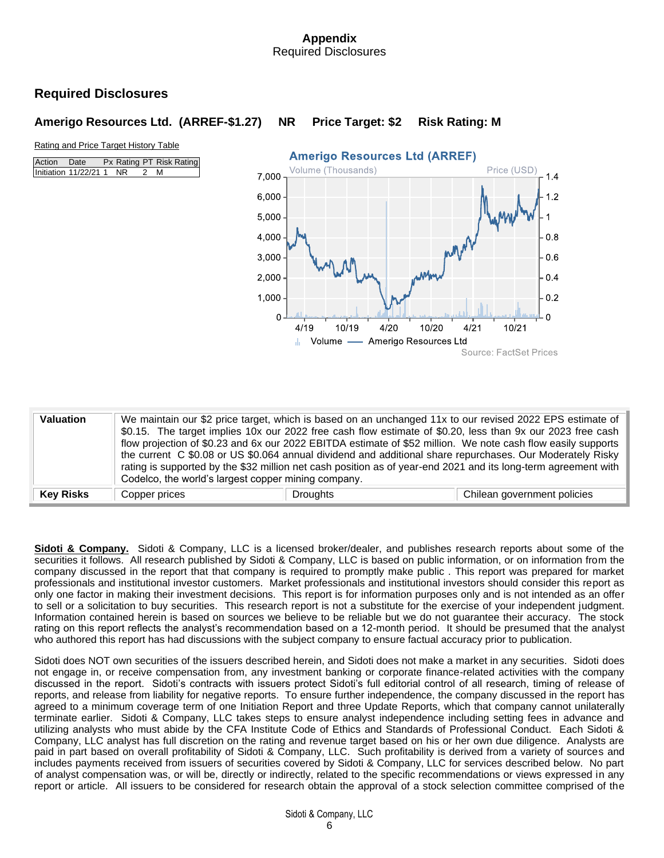### **Appendix** Required Disclosures

# **Required Disclosures**

## **Amerigo Resources Ltd. (ARREF-\$1.27) NR Price Target: \$2 Risk Rating: M**

### Rating and Price Target History Table

| Action Date |                          | Px Rating PT Risk Rating |     |  |
|-------------|--------------------------|--------------------------|-----|--|
|             | Initiation 11/22/21 1 NR |                          | 2 M |  |



| <b>Valuation</b> | Codelco, the world's largest copper mining company. | We maintain our \$2 price target, which is based on an unchanged 11x to our revised 2022 EPS estimate of<br>\$0.15. The target implies 10x our 2022 free cash flow estimate of \$0.20, less than 9x our 2023 free cash<br>flow projection of \$0.23 and 6x our 2022 EBITDA estimate of \$52 million. We note cash flow easily supports<br>the current C \$0.08 or US \$0.064 annual dividend and additional share repurchases. Our Moderately Risky<br>rating is supported by the \$32 million net cash position as of year-end 2021 and its long-term agreement with |                             |
|------------------|-----------------------------------------------------|-----------------------------------------------------------------------------------------------------------------------------------------------------------------------------------------------------------------------------------------------------------------------------------------------------------------------------------------------------------------------------------------------------------------------------------------------------------------------------------------------------------------------------------------------------------------------|-----------------------------|
| <b>Key Risks</b> | Copper prices                                       | <b>Droughts</b>                                                                                                                                                                                                                                                                                                                                                                                                                                                                                                                                                       | Chilean government policies |

**Sidoti & Company.**Sidoti & Company, LLC is a licensed broker/dealer, and publishes research reports about some of the securities it follows. All research published by Sidoti & Company, LLC is based on public information, or on information from the company discussed in the report that that company is required to promptly make public . This report was prepared for market professionals and institutional investor customers. Market professionals and institutional investors should consider this report as only one factor in making their investment decisions. This report is for information purposes only and is not intended as an offer to sell or a solicitation to buy securities. This research report is not a substitute for the exercise of your independent judgment. Information contained herein is based on sources we believe to be reliable but we do not guarantee their accuracy. The stock rating on this report reflects the analyst's recommendation based on a 12-month period. It should be presumed that the analyst who authored this report has had discussions with the subject company to ensure factual accuracy prior to publication.

Sidoti does NOT own securities of the issuers described herein, and Sidoti does not make a market in any securities. Sidoti does not engage in, or receive compensation from, any investment banking or corporate finance-related activities with the company discussed in the report. Sidoti's contracts with issuers protect Sidoti's full editorial control of all research, timing of release of reports, and release from liability for negative reports. To ensure further independence, the company discussed in the report has agreed to a minimum coverage term of one Initiation Report and three Update Reports, which that company cannot unilaterally terminate earlier. Sidoti & Company, LLC takes steps to ensure analyst independence including setting fees in advance and utilizing analysts who must abide by the CFA Institute Code of Ethics and Standards of Professional Conduct. Each Sidoti & Company, LLC analyst has full discretion on the rating and revenue target based on his or her own due diligence. Analysts are paid in part based on overall profitability of Sidoti & Company, LLC. Such profitability is derived from a variety of sources and includes payments received from issuers of securities covered by Sidoti & Company, LLC for services described below. No part of analyst compensation was, or will be, directly or indirectly, related to the specific recommendations or views expressed in any report or article. All issuers to be considered for research obtain the approval of a stock selection committee comprised of the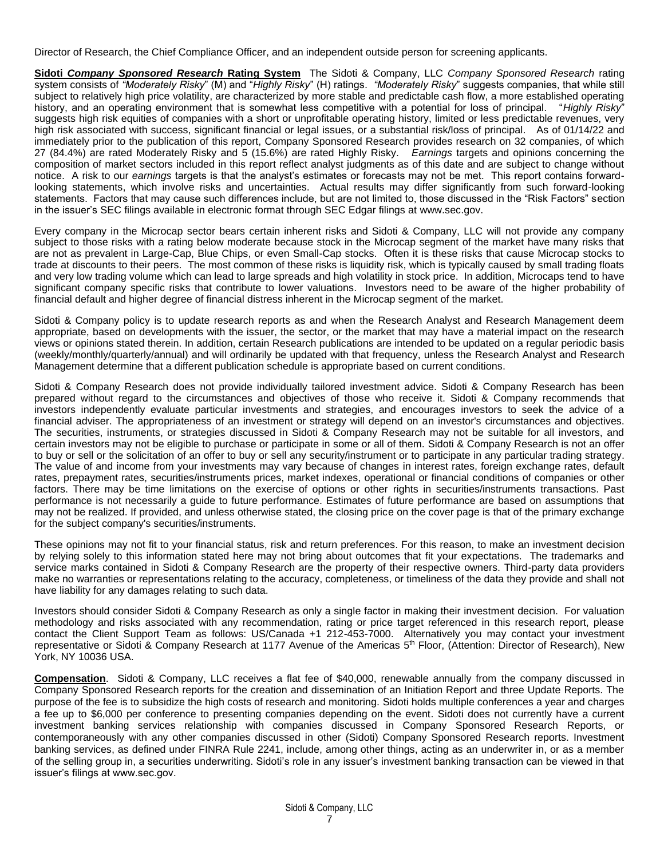Director of Research, the Chief Compliance Officer, and an independent outside person for screening applicants.

**Sidoti** *Company Sponsored Research* **Rating System** The Sidoti & Company, LLC *Company Sponsored Research* rating system consists of *"Moderately Risky*" (M) and "*Highly Risky*" (H) ratings. *"Moderately Risky*" suggests companies, that while still subject to relatively high price volatility, are characterized by more stable and predictable cash flow, a more established operating history, and an operating environment that is somewhat less competitive with a potential for loss of principal. "*Highly Risky*" suggests high risk equities of companies with a short or unprofitable operating history, limited or less predictable revenues, very high risk associated with success, significant financial or legal issues, or a substantial risk/loss of principal. As of 01/14/22 and immediately prior to the publication of this report, Company Sponsored Research provides research on 32 companies, of which 27 (84.4%) are rated Moderately Risky and 5 (15.6%) are rated Highly Risky. *Earnings* targets and opinions concerning the composition of market sectors included in this report reflect analyst judgments as of this date and are subject to change without notice. A risk to our *earnings* targets is that the analyst's estimates or forecasts may not be met. This report contains forwardlooking statements, which involve risks and uncertainties. Actual results may differ significantly from such forward-looking statements. Factors that may cause such differences include, but are not limited to, those discussed in the "Risk Factors" section in the issuer's SEC filings available in electronic format through SEC Edgar filings at [www.sec.gov.](http://www.sec.gov/)

Every company in the Microcap sector bears certain inherent risks and Sidoti & Company, LLC will not provide any company subject to those risks with a rating below moderate because stock in the Microcap segment of the market have many risks that are not as prevalent in Large-Cap, Blue Chips, or even Small-Cap stocks. Often it is these risks that cause Microcap stocks to trade at discounts to their peers. The most common of these risks is liquidity risk, which is typically caused by small trading floats and very low trading volume which can lead to large spreads and high volatility in stock price. In addition, Microcaps tend to have significant company specific risks that contribute to lower valuations. Investors need to be aware of the higher probability of financial default and higher degree of financial distress inherent in the Microcap segment of the market.

Sidoti & Company policy is to update research reports as and when the Research Analyst and Research Management deem appropriate, based on developments with the issuer, the sector, or the market that may have a material impact on the research views or opinions stated therein. In addition, certain Research publications are intended to be updated on a regular periodic basis (weekly/monthly/quarterly/annual) and will ordinarily be updated with that frequency, unless the Research Analyst and Research Management determine that a different publication schedule is appropriate based on current conditions.

Sidoti & Company Research does not provide individually tailored investment advice. Sidoti & Company Research has been prepared without regard to the circumstances and objectives of those who receive it. Sidoti & Company recommends that investors independently evaluate particular investments and strategies, and encourages investors to seek the advice of a financial adviser. The appropriateness of an investment or strategy will depend on an investor's circumstances and objectives. The securities, instruments, or strategies discussed in Sidoti & Company Research may not be suitable for all investors, and certain investors may not be eligible to purchase or participate in some or all of them. Sidoti & Company Research is not an offer to buy or sell or the solicitation of an offer to buy or sell any security/instrument or to participate in any particular trading strategy. The value of and income from your investments may vary because of changes in interest rates, foreign exchange rates, default rates, prepayment rates, securities/instruments prices, market indexes, operational or financial conditions of companies or other factors. There may be time limitations on the exercise of options or other rights in securities/instruments transactions. Past performance is not necessarily a guide to future performance. Estimates of future performance are based on assumptions that may not be realized. If provided, and unless otherwise stated, the closing price on the cover page is that of the primary exchange for the subject company's securities/instruments.

These opinions may not fit to your financial status, risk and return preferences. For this reason, to make an investment decision by relying solely to this information stated here may not bring about outcomes that fit your expectations. The trademarks and service marks contained in Sidoti & Company Research are the property of their respective owners. Third-party data providers make no warranties or representations relating to the accuracy, completeness, or timeliness of the data they provide and shall not have liability for any damages relating to such data.

Investors should consider Sidoti & Company Research as only a single factor in making their investment decision. For valuation methodology and risks associated with any recommendation, rating or price target referenced in this research report, please contact the Client Support Team as follows: US/Canada +1 212-453-7000. Alternatively you may contact your investment representative or Sidoti & Company Research at 1177 Avenue of the Americas 5<sup>th</sup> Floor, (Attention: Director of Research), New York, NY 10036 USA.

**Compensation**. Sidoti & Company, LLC receives a flat fee of \$40,000, renewable annually from the company discussed in Company Sponsored Research reports for the creation and dissemination of an Initiation Report and three Update Reports. The purpose of the fee is to subsidize the high costs of research and monitoring. Sidoti holds multiple conferences a year and charges a fee up to \$6,000 per conference to presenting companies depending on the event. Sidoti does not currently have a current investment banking services relationship with companies discussed in Company Sponsored Research Reports, or contemporaneously with any other companies discussed in other (Sidoti) Company Sponsored Research reports. Investment banking services, as defined under FINRA Rule 2241, include, among other things, acting as an underwriter in, or as a member of the selling group in, a securities underwriting. Sidoti's role in any issuer's investment banking transaction can be viewed in that issuer's filings at www.sec.gov.